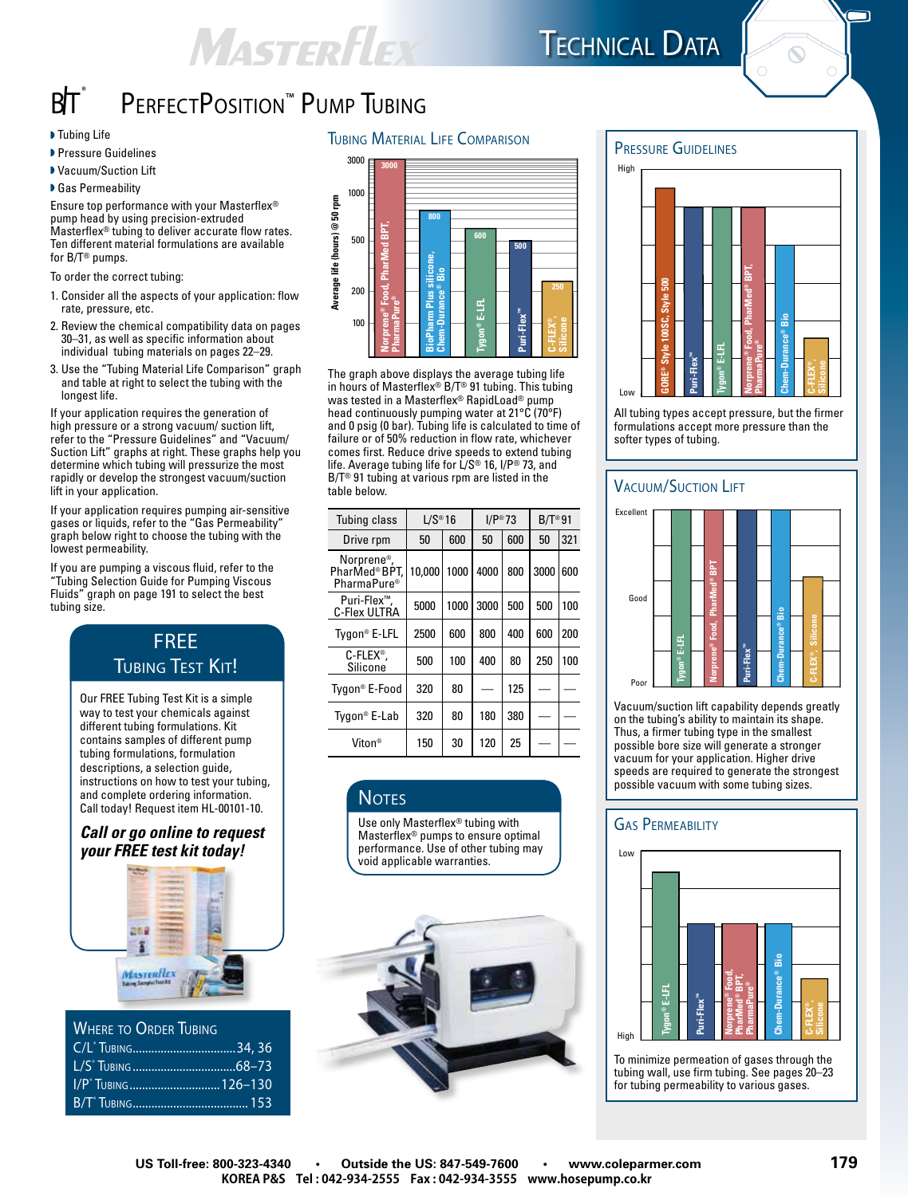## **MASTERFLEX**



ה

## BIT<sup>®</sup> PERFECTPOSITION<sup>™</sup> PUMP TUBING

- $\blacktriangleright$  Tubing Life
- **Pressure Guidelines**
- ▶ Vacuum/Suction Lift

▶ Gas Permeability

Ensure top performance with your Masterflex® pump head by using precision-extruded Masterflex® tubing to deliver accurate flow rates. Ten different material formulations are available for B/T® pumps.

To order the correct tubing:

- 1. Consider all the aspects of your application: flow rate, pressure, etc.
- 2. Review the chemical compatibility data on pages 30–31, as well as specific information about individual tubing materials on pages 22–29.
- 3. Use the "Tubing Material Life Comparison" graph and table at right to select the tubing with the longest life.

If your application requires the generation of high pressure or a strong vacuum/ suction lift, refer to the "Pressure Guidelines" and "Vacuum/ Suction Lift" graphs at right. These graphs help you determine which tubing will pressurize the most rapidly or develop the strongest vacuum/suction lift in your application.

If your application requires pumping air-sensitive gases or liquids, refer to the "Gas Permeability" graph below right to choose the tubing with the lowest permeability.

If you are pumping a viscous fluid, refer to the "Tubing Selection Guide for Pumping Viscous Fluids" graph on page 191 to select the best tubing size.

### FREE **TUBING TEST KIT!**

Our FREE Tubing Test Kit is a simple way to test your chemicals against different tubing formulations. Kit contains samples of different pump tubing formulations, formulation descriptions, a selection guide, instructions on how to test your tubing, and complete ordering information. Call today! Request item HL-00101-10.

#### *Call or go online to request your FREE test kit today!*



| <b>WHERE TO ORDER TUBING</b>   |  |
|--------------------------------|--|
|                                |  |
|                                |  |
| I/P <sup>*</sup> TUBING126-130 |  |

B/T® Tubing..................................... 153





The graph above displays the average tubing life in hours of Masterflex® B/T® 91 tubing. This tubing was tested in a Masterflex® RapidLoad® pump head continuously pumping water at 21°C (70°F) and 0 psig (0 bar). Tubing life is calculated to time of failure or of 50% reduction in flow rate, whichever comes first. Reduce drive speeds to extend tubing life. Average tubing life for L/S® 16, I/P® 73, and B/T® 91 tubing at various rpm are listed in the table below.

| Tubing class                                                       | $L/S^{\circledcirc}$ 16 |      | $I/P^{\circledast}73$ |     | $B/T^{\circledcirc}91$ |     |
|--------------------------------------------------------------------|-------------------------|------|-----------------------|-----|------------------------|-----|
| Drive rpm                                                          | 50                      | 600  | 50                    | 600 | 50                     | 321 |
| Norprene <sup>®</sup> ,<br>PharMed®BPT.<br>PharmaPure <sup>®</sup> | 10.000                  | 1000 | 4000                  | 800 | 3000                   | 600 |
| Puri-Flex™,<br>C-Flex ULTRA                                        | 5000                    | 1000 | 3000                  | 500 | 500                    | 100 |
| Tygon <sup>®</sup> E-LFL                                           | 2500                    | 600  | 800                   | 400 | 600                    | 200 |
| $C$ -FLEX <sup>®</sup> ,<br>Silicone                               | 500                     | 100  | 400                   | 80  | 250                    | 100 |
| Tygon® E-Food                                                      | 320                     | 80   |                       | 125 |                        |     |
| Tygon <sup>®</sup> E-Lab                                           | 320                     | 80   | 180                   | 380 |                        |     |
| Viton®                                                             | 150                     | 30   | 120                   | 25  |                        |     |

#### **NOTES**

Use only Masterflex® tubing with Masterflex® pumps to ensure optimal performance. Use of other tubing may void applicable warranties.





All tubing types accept pressure, but the firmer formulations accept more pressure than the

#### **VACUUM/SUCTION LIFT**



Vacuum/suction lift capability depends greatly on the tubing's ability to maintain its shape. Thus, a firmer tubing type in the smallest possible bore size will generate a stronger vacuum for your application. Higher drive speeds are required to generate the strongest possible vacuum with some tubing sizes.

#### **GAS PERMEABILITY**



To minimize permeation of gases through the tubing wall, use firm tubing. See pages 20–23 for tubing permeability to various gases.